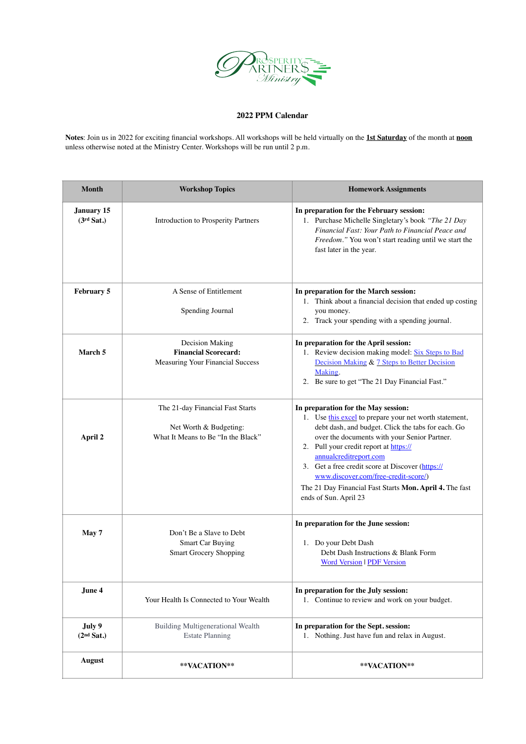

## **2022 PPM Calendar**

**Notes**: Join us in 2022 for exciting financial workshops. All workshops will be held virtually on the **1st Saturday** of the month at **noon** unless otherwise noted at the Ministry Center. Workshops will be run until 2 p.m.

| <b>Month</b>                         | <b>Workshop Topics</b>                                                                           | <b>Homework Assignments</b>                                                                                                                                                                                                                                                                                                                                                                                                                             |
|--------------------------------------|--------------------------------------------------------------------------------------------------|---------------------------------------------------------------------------------------------------------------------------------------------------------------------------------------------------------------------------------------------------------------------------------------------------------------------------------------------------------------------------------------------------------------------------------------------------------|
| January 15<br>(3 <sup>rd</sup> Sat.) | Introduction to Prosperity Partners                                                              | In preparation for the February session:<br>1. Purchase Michelle Singletary's book "The 21 Day<br>Financial Fast: Your Path to Financial Peace and<br>Freedom." You won't start reading until we start the<br>fast later in the year.                                                                                                                                                                                                                   |
| February 5                           | A Sense of Entitlement<br>Spending Journal                                                       | In preparation for the March session:<br>1. Think about a financial decision that ended up costing<br>you money.<br>2. Track your spending with a spending journal.                                                                                                                                                                                                                                                                                     |
| March 5                              | Decision Making<br><b>Financial Scorecard:</b><br>Measuring Your Financial Success               | In preparation for the April session:<br>1. Review decision making model: Six Steps to Bad<br>Decision Making & 7 Steps to Better Decision<br>Making.<br>2. Be sure to get "The 21 Day Financial Fast."                                                                                                                                                                                                                                                 |
| April 2                              | The 21-day Financial Fast Starts<br>Net Worth & Budgeting:<br>What It Means to Be "In the Black" | In preparation for the May session:<br>1. Use this excel to prepare your net worth statement,<br>debt dash, and budget. Click the tabs for each. Go<br>over the documents with your Senior Partner.<br>2. Pull your credit report at https://<br>annualcreditreport.com<br>3. Get a free credit score at Discover (https://<br>www.discover.com/free-credit-score/)<br>The 21 Day Financial Fast Starts Mon. April 4. The fast<br>ends of Sun. April 23 |
| May 7                                | Don't Be a Slave to Debt<br><b>Smart Car Buying</b><br><b>Smart Grocery Shopping</b>             | In preparation for the June session:<br>1. Do your Debt Dash<br>Debt Dash Instructions & Blank Form<br><b>Word Version   PDF Version</b>                                                                                                                                                                                                                                                                                                                |
| June 4                               | Your Health Is Connected to Your Wealth                                                          | In preparation for the July session:<br>1. Continue to review and work on your budget.                                                                                                                                                                                                                                                                                                                                                                  |
| July 9<br>(2 <sup>nd</sup> Sat.)     | <b>Building Multigenerational Wealth</b><br><b>Estate Planning</b>                               | In preparation for the Sept. session:<br>1. Nothing. Just have fun and relax in August.                                                                                                                                                                                                                                                                                                                                                                 |
| August                               | **VACATION**                                                                                     | **VACATION**                                                                                                                                                                                                                                                                                                                                                                                                                                            |